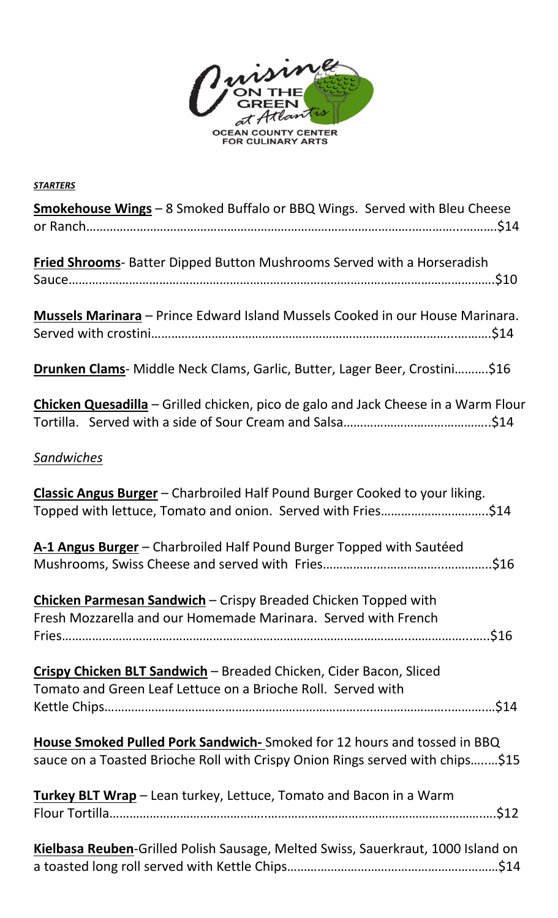

| <b>STARTERS</b>                                                                                                                         |
|-----------------------------------------------------------------------------------------------------------------------------------------|
| <b>Smokehouse Wings</b> - 8 Smoked Buffalo or BBQ Wings. Served with Bleu Cheese                                                        |
|                                                                                                                                         |
| <b>Fried Shrooms</b> - Batter Dipped Button Mushrooms Served with a Horseradish                                                         |
|                                                                                                                                         |
|                                                                                                                                         |
| <b>Mussels Marinara</b> – Prince Edward Island Mussels Cooked in our House Marinara.                                                    |
|                                                                                                                                         |
| <b>Drunken Clams-</b> Middle Neck Clams, Garlic, Butter, Lager Beer, Crostini\$16                                                       |
| <b>Chicken Quesadilla</b> – Grilled chicken, pico de galo and Jack Cheese in a Warm Flour                                               |
|                                                                                                                                         |
| <b>Sandwiches</b>                                                                                                                       |
|                                                                                                                                         |
| Classic Angus Burger - Charbroiled Half Pound Burger Cooked to your liking.                                                             |
| Topped with lettuce, Tomato and onion. Served with Fries\$14                                                                            |
| A-1 Angus Burger - Charbroiled Half Pound Burger Topped with Sautéed                                                                    |
|                                                                                                                                         |
|                                                                                                                                         |
| <b>Chicken Parmesan Sandwich</b> – Crispy Breaded Chicken Topped with<br>Fresh Mozzarella and our Homemade Marinara. Served with French |
|                                                                                                                                         |
|                                                                                                                                         |
| Crispy Chicken BLT Sandwich - Breaded Chicken, Cider Bacon, Sliced                                                                      |
| Tomato and Green Leaf Lettuce on a Brioche Roll. Served with                                                                            |
|                                                                                                                                         |
| House Smoked Pulled Pork Sandwich-Smoked for 12 hours and tossed in BBQ                                                                 |
| sauce on a Toasted Brioche Roll with Crispy Onion Rings served with chips\$15                                                           |
|                                                                                                                                         |
| <b>Turkey BLT Wrap</b> – Lean turkey, Lettuce, Tomato and Bacon in a Warm                                                               |
|                                                                                                                                         |
| Kielbasa Reuben-Grilled Polish Sausage, Melted Swiss, Sauerkraut, 1000 Island on                                                        |
|                                                                                                                                         |